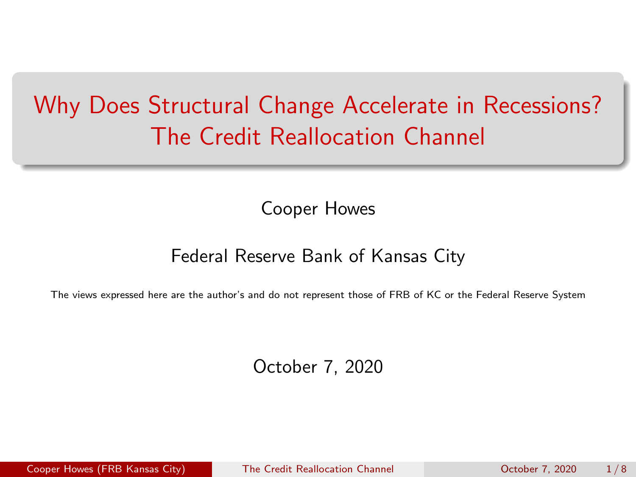# <span id="page-0-0"></span>Why Does Structural Change Accelerate in Recessions? The Credit Reallocation Channel

Cooper Howes

#### Federal Reserve Bank of Kansas City

The views expressed here are the author's and do not represent those of FRB of KC or the Federal Reserve System

October 7, 2020

Cooper Howes (FRB Kansas City) [The Credit Reallocation Channel](#page-7-0) October 7, 2020 1 / 8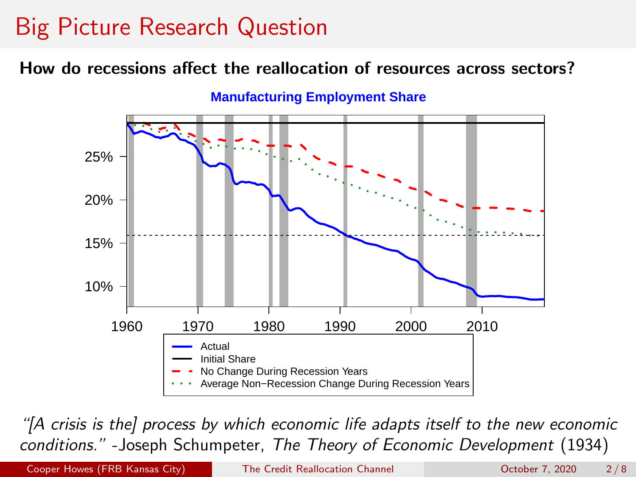## Big Picture Research Question

#### How do recessions affect the reallocation of resources across sectors?



"[A crisis is the] process by which economic life adapts itself to the new economic conditions." -Joseph Schumpeter, The Theory of Economic Development (1934)

Cooper Howes (FRB Kansas City) [The Credit Reallocation Channel](#page-0-0) October 7, 2020 2 / 8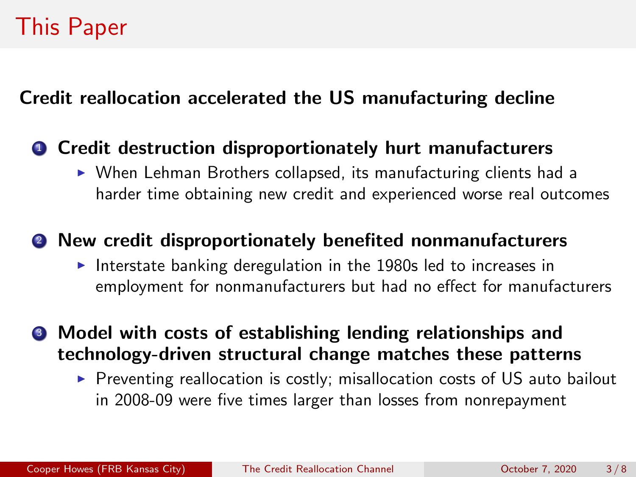# This Paper

Credit reallocation accelerated the US manufacturing decline

#### **1** Credit destruction disproportionately hurt manufacturers

 $\triangleright$  When Lehman Brothers collapsed, its manufacturing clients had a harder time obtaining new credit and experienced worse real outcomes

#### <sup>2</sup> New credit disproportionately benefited nonmanufacturers

Interstate banking deregulation in the 1980s led to increases in employment for nonmanufacturers but had no effect for manufacturers

**3** Model with costs of establishing lending relationships and technology-driven structural change matches these patterns

 $\triangleright$  Preventing reallocation is costly; misallocation costs of US auto bailout in 2008-09 were five times larger than losses from nonrepayment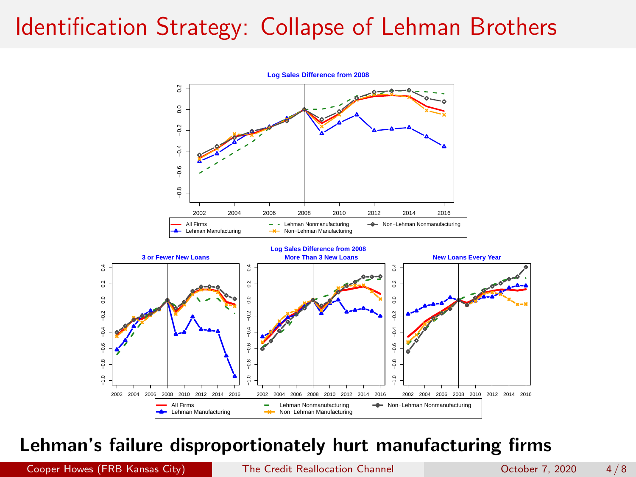## Identification Strategy: Collapse of Lehman Brothers



#### Lehman's failure disproportionately hurt manufacturing firms

Cooper Howes (FRB Kansas City) [The Credit Reallocation Channel](#page-0-0) October 7, 2020 4 / 8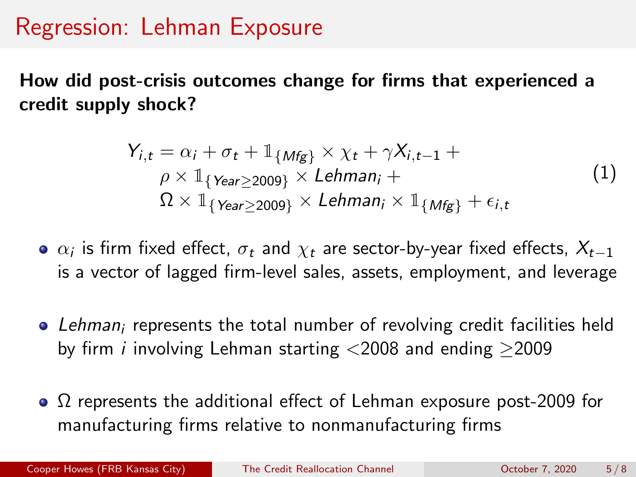## Regression: Lehman Exposure

How did post-crisis outcomes change for firms that experienced a credit supply shock?

$$
Y_{i,t} = \alpha_i + \sigma_t + \mathbb{1}_{\{Mfg\}} \times \chi_t + \gamma X_{i,t-1} +
$$
  
\n
$$
\rho \times \mathbb{1}_{\{Year \ge 2009\}} \times Lehman_i +
$$
  
\n
$$
\Omega \times \mathbb{1}_{\{Year \ge 2009\}} \times Lehman_i \times \mathbb{1}_{\{Mfg\}} + \epsilon_{i,t}
$$
\n(1)

- $\alpha_i$  is firm fixed effect,  $\sigma_t$  and  $\chi_t$  are sector-by-year fixed effects,  $\mathcal{X}_{t-1}$ is a vector of lagged firm-level sales, assets, employment, and leverage
- Lehman<sub>i</sub> represents the total number of revolving credit facilities held by firm *i* involving Lehman starting  $\langle 2008 \rangle$  and ending  $>$  2009
- $\Omega$  represents the additional effect of Lehman exposure post-2009 for manufacturing firms relative to nonmanufacturing firms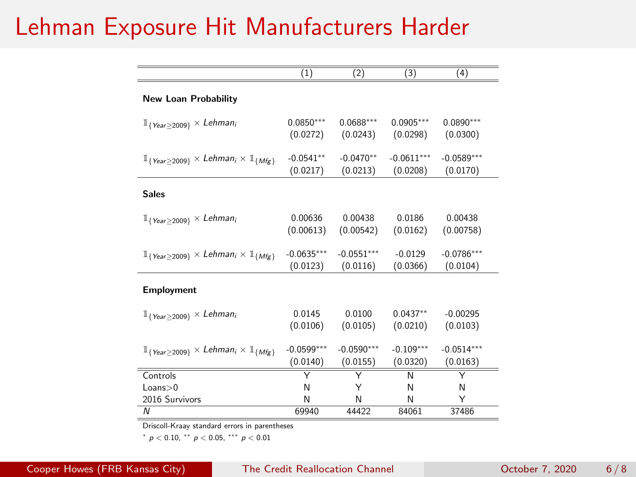### Lehman Exposure Hit Manufacturers Harder

|                                                                              | $\left(1\right)$         | (2)                      | (3)                     | (4)                      |
|------------------------------------------------------------------------------|--------------------------|--------------------------|-------------------------|--------------------------|
| <b>New Loan Probability</b>                                                  |                          |                          |                         |                          |
| $\mathbb{1}_{\{Year\geq 2009\}} \times Lehman_i$                             | $0.0850***$              | $0.0688***$              | $0.0905***$             | $0.0890***$              |
|                                                                              | (0.0272)                 | (0.0243)                 | (0.0298)                | (0.0300)                 |
| $\mathbb{1}_{\{Year\geq 2009\}} \times Lehman_i \times \mathbb{1}_{\{Mfg\}}$ | $-0.0541**$              | $-0.0470**$              | $-0.0611***$            | $-0.0589***$             |
|                                                                              | (0.0217)                 | (0.0213)                 | (0.0208)                | (0.0170)                 |
| <b>Sales</b>                                                                 |                          |                          |                         |                          |
| $1_{\{Year\geq 2009\}} \times Lehman_i$                                      | 0.00636                  | 0.00438                  | 0.0186                  | 0.00438                  |
|                                                                              | (0.00613)                | (0.00542)                | (0.0162)                | (0.00758)                |
| $\mathbb{1}_{\{Year\geq 2009\}} \times Lehman_i \times \mathbb{1}_{\{Mfg\}}$ | $-0.0635***$             | $-0.0551***$             | $-0.0129$               | $-0.0786***$             |
|                                                                              | (0.0123)                 | (0.0116)                 | (0.0366)                | (0.0104)                 |
| <b>Employment</b>                                                            |                          |                          |                         |                          |
| $\mathbb{1}_{\{Year\geq 2009\}} \times Lehman_i$                             | 0.0145                   | 0.0100                   | $0.0437**$              | $-0.00295$               |
|                                                                              | (0.0106)                 | (0.0105)                 | (0.0210)                | (0.0103)                 |
| $\mathbb{1}_{\{Year\geq 2009\}} \times Lehman_i \times \mathbb{1}_{\{Mfg\}}$ | $-0.0599***$<br>(0.0140) | $-0.0590***$<br>(0.0155) | $-0.109***$<br>(0.0320) | $-0.0514***$<br>(0.0163) |
| Controls                                                                     | Υ                        | Ϋ                        | N                       |                          |
| Loans > 0                                                                    | Ν                        | Υ                        | Ν                       | N                        |
| 2016 Survivors                                                               | Ν                        | N                        | N                       | Y                        |
| Ν                                                                            | 69940                    | 44422                    | 84061                   | 37486                    |

Driscoll-Kraay standard errors in parentheses

 $* p < 0.10, ** p < 0.05,*** p < 0.01$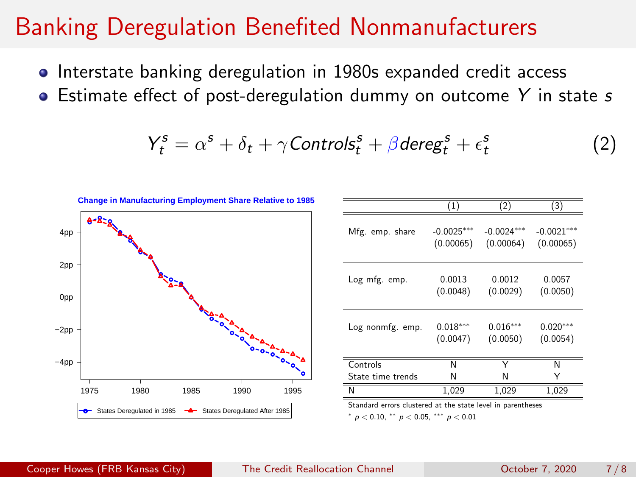### Banking Deregulation Benefited Nonmanufacturers

- Interstate banking deregulation in 1980s expanded credit access
- $\bullet$  Estimate effect of post-deregulation dummy on outcome Y in state s

$$
Y_t^s = \alpha^s + \delta_t + \gamma \text{Controls}_t^s + \beta \text{dereg}_t^s + \epsilon_t^s \tag{2}
$$



|                                                             | $\left(1\right)$          | (2)                       | (3)                       |  |  |
|-------------------------------------------------------------|---------------------------|---------------------------|---------------------------|--|--|
| Mfg. emp. share                                             | $-0.0025***$<br>(0.00065) | $-0.0024***$<br>(0.00064) | $-0.0021***$<br>(0.00065) |  |  |
| Log mfg. emp.                                               | 0.0013<br>(0.0048)        | 0.0012<br>(0.0029)        | 0.0057<br>(0.0050)        |  |  |
| Log nonmfg. emp.                                            | $0.018***$<br>(0.0047)    | $0.016***$<br>(0.0050)    | $0.020***$<br>(0.0054)    |  |  |
| Controls                                                    | N                         |                           | Ν                         |  |  |
| State time trends                                           | N                         | Ν                         |                           |  |  |
| N                                                           | 1.029                     | 1.029                     | 1.029                     |  |  |
| Standard errors clustered at the state level in parentheses |                           |                           |                           |  |  |

 $* n < 0.10$ , \*\*  $n < 0.05$ , \*\*\*  $n < 0.01$